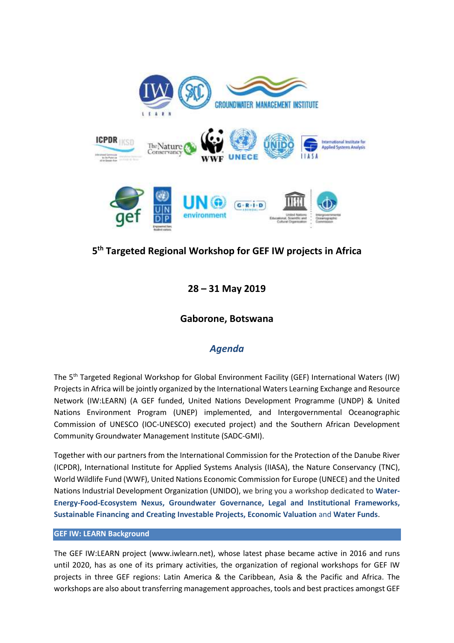

# **5 th Targeted Regional Workshop for GEF IW projects in Africa**

**28 – 31 May 2019**

### **Gaborone, Botswana**

## *Agenda*

The 5th Targeted Regional Workshop for Global Environment Facility (GEF) International Waters (IW) Projects in Africa will be jointly organized by the International Waters Learning Exchange and Resource Network (IW:LEARN) (A GEF funded, United Nations Development Programme (UNDP) & United Nations Environment Program (UNEP) implemented, and Intergovernmental Oceanographic Commission of UNESCO (IOC-UNESCO) executed project) and the Southern African Development Community Groundwater Management Institute (SADC-GMI).

Together with our partners from the International Commission for the Protection of the Danube River (ICPDR), International Institute for Applied Systems Analysis (IIASA), the Nature Conservancy (TNC), World Wildlife Fund (WWF), United Nations Economic Commission for Europe (UNECE) and the United Nations Industrial Development Organization (UNIDO), we bring you a workshop dedicated to **Water-Energy-Food-Ecosystem Nexus, Groundwater Governance, Legal and Institutional Frameworks, Sustainable Financing and Creating Investable Projects, Economic Valuation** and **Water Funds**.

#### **GEF IW: LEARN Background**

The GEF IW:LEARN project (www.iwlearn.net), whose latest phase became active in 2016 and runs until 2020, has as one of its primary activities, the organization of regional workshops for GEF IW projects in three GEF regions: Latin America & the Caribbean, Asia & the Pacific and Africa. The workshops are also about transferring management approaches, tools and best practices amongst GEF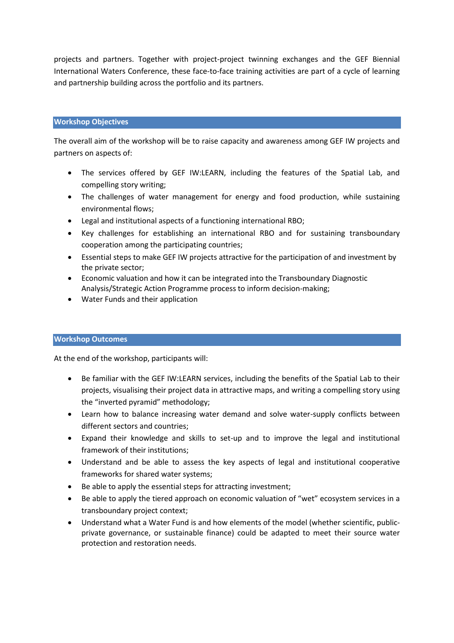projects and partners. Together with project-project twinning exchanges and the GEF Biennial International Waters Conference, these face-to-face training activities are part of a cycle of learning and partnership building across the portfolio and its partners.

#### **Workshop Objectives**

The overall aim of the workshop will be to raise capacity and awareness among GEF IW projects and partners on aspects of:

- The services offered by GEF IW:LEARN, including the features of the Spatial Lab, and compelling story writing;
- The challenges of water management for energy and food production, while sustaining environmental flows;
- Legal and institutional aspects of a functioning international RBO;
- Key challenges for establishing an international RBO and for sustaining transboundary cooperation among the participating countries;
- Essential steps to make GEF IW projects attractive for the participation of and investment by the private sector;
- Economic valuation and how it can be integrated into the Transboundary Diagnostic Analysis/Strategic Action Programme process to inform decision-making;
- Water Funds and their application

#### **Workshop Outcomes**

At the end of the workshop, participants will:

- Be familiar with the GEF IW:LEARN services, including the benefits of the Spatial Lab to their projects, visualising their project data in attractive maps, and writing a compelling story using the "inverted pyramid" methodology;
- Learn how to balance increasing water demand and solve water-supply conflicts between different sectors and countries;
- Expand their knowledge and skills to set-up and to improve the legal and institutional framework of their institutions;
- Understand and be able to assess the key aspects of legal and institutional cooperative frameworks for shared water systems;
- Be able to apply the essential steps for attracting investment;
- Be able to apply the tiered approach on economic valuation of "wet" ecosystem services in a transboundary project context;
- Understand what a Water Fund is and how elements of the model (whether scientific, publicprivate governance, or sustainable finance) could be adapted to meet their source water protection and restoration needs.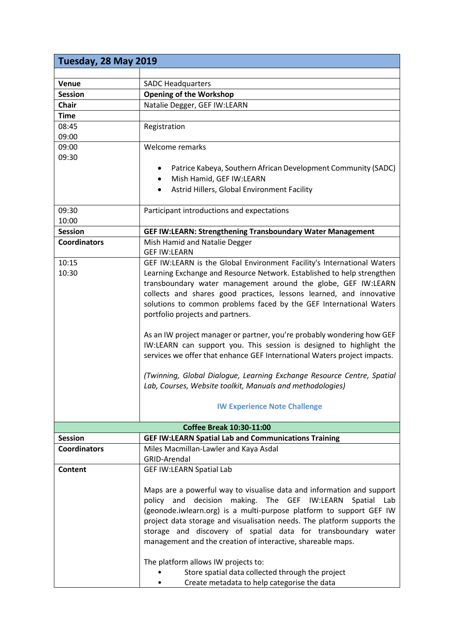| Tuesday, 28 May 2019                                                            |                                                                          |  |
|---------------------------------------------------------------------------------|--------------------------------------------------------------------------|--|
|                                                                                 |                                                                          |  |
| Venue                                                                           | <b>SADC Headquarters</b>                                                 |  |
| <b>Session</b>                                                                  | <b>Opening of the Workshop</b>                                           |  |
| <b>Chair</b>                                                                    | Natalie Degger, GEF IW:LEARN                                             |  |
| <b>Time</b>                                                                     |                                                                          |  |
| 08:45                                                                           | Registration                                                             |  |
| 09:00                                                                           |                                                                          |  |
| 09:00                                                                           | Welcome remarks                                                          |  |
| 09:30                                                                           |                                                                          |  |
|                                                                                 | Patrice Kabeya, Southern African Development Community (SADC)            |  |
|                                                                                 | Mish Hamid, GEF IW:LEARN                                                 |  |
|                                                                                 | Astrid Hillers, Global Environment Facility                              |  |
|                                                                                 |                                                                          |  |
| 09:30                                                                           | Participant introductions and expectations                               |  |
| 10:00                                                                           |                                                                          |  |
| <b>Session</b>                                                                  | <b>GEF IW:LEARN: Strengthening Transboundary Water Management</b>        |  |
| <b>Coordinators</b>                                                             | Mish Hamid and Natalie Degger                                            |  |
|                                                                                 | <b>GEF IW:LEARN</b>                                                      |  |
| 10:15                                                                           | GEF IW:LEARN is the Global Environment Facility's International Waters   |  |
| Learning Exchange and Resource Network. Established to help strengthen<br>10:30 |                                                                          |  |
|                                                                                 | transboundary water management around the globe, GEF IW:LEARN            |  |
|                                                                                 | collects and shares good practices, lessons learned, and innovative      |  |
|                                                                                 | solutions to common problems faced by the GEF International Waters       |  |
|                                                                                 | portfolio projects and partners.                                         |  |
|                                                                                 |                                                                          |  |
|                                                                                 | As an IW project manager or partner, you're probably wondering how GEF   |  |
|                                                                                 | IW:LEARN can support you. This session is designed to highlight the      |  |
|                                                                                 | services we offer that enhance GEF International Waters project impacts. |  |
|                                                                                 |                                                                          |  |
|                                                                                 | (Twinning, Global Dialogue, Learning Exchange Resource Centre, Spatial   |  |
|                                                                                 | Lab, Courses, Website toolkit, Manuals and methodologies)                |  |
|                                                                                 |                                                                          |  |
|                                                                                 | <b>IW Experience Note Challenge</b>                                      |  |
|                                                                                 | <b>Coffee Break 10:30-11:00</b>                                          |  |
| <b>Session</b>                                                                  | <b>GEF IW:LEARN Spatial Lab and Communications Training</b>              |  |
| <b>Coordinators</b>                                                             | Miles Macmillan-Lawler and Kaya Asdal                                    |  |
|                                                                                 | <b>GRID-Arendal</b>                                                      |  |
| Content                                                                         | <b>GEF IW:LEARN Spatial Lab</b>                                          |  |
|                                                                                 |                                                                          |  |
|                                                                                 | Maps are a powerful way to visualise data and information and support    |  |
|                                                                                 | decision making. The GEF IW:LEARN<br>and<br>Spatial<br>policy<br>Lab     |  |
|                                                                                 | (geonode.iwlearn.org) is a multi-purpose platform to support GEF IW      |  |
|                                                                                 | project data storage and visualisation needs. The platform supports the  |  |
|                                                                                 | storage and discovery of spatial data for transboundary water            |  |
|                                                                                 | management and the creation of interactive, shareable maps.              |  |
|                                                                                 |                                                                          |  |
|                                                                                 | The platform allows IW projects to:                                      |  |
|                                                                                 | Store spatial data collected through the project                         |  |
|                                                                                 | Create metadata to help categorise the data                              |  |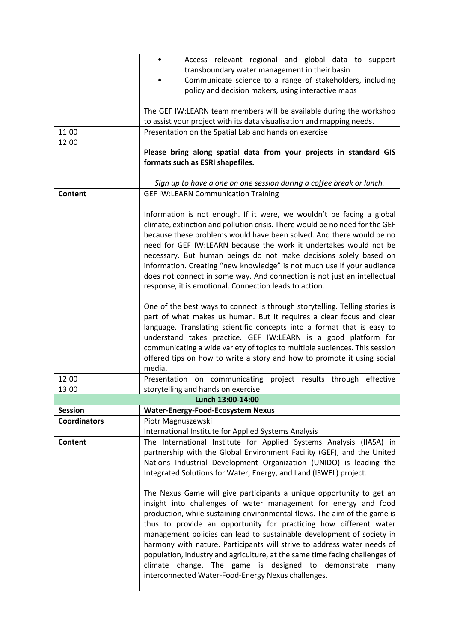|                     | Access relevant regional and global data to support                                                                                                    |  |  |
|---------------------|--------------------------------------------------------------------------------------------------------------------------------------------------------|--|--|
|                     | transboundary water management in their basin<br>Communicate science to a range of stakeholders, including                                             |  |  |
|                     | policy and decision makers, using interactive maps                                                                                                     |  |  |
|                     |                                                                                                                                                        |  |  |
|                     | The GEF IW:LEARN team members will be available during the workshop                                                                                    |  |  |
|                     | to assist your project with its data visualisation and mapping needs.                                                                                  |  |  |
| 11:00               | Presentation on the Spatial Lab and hands on exercise                                                                                                  |  |  |
| 12:00               |                                                                                                                                                        |  |  |
|                     | Please bring along spatial data from your projects in standard GIS                                                                                     |  |  |
|                     | formats such as ESRI shapefiles.                                                                                                                       |  |  |
|                     | Sign up to have a one on one session during a coffee break or lunch.                                                                                   |  |  |
| <b>Content</b>      | <b>GEF IW:LEARN Communication Training</b>                                                                                                             |  |  |
|                     |                                                                                                                                                        |  |  |
|                     | Information is not enough. If it were, we wouldn't be facing a global                                                                                  |  |  |
|                     | climate, extinction and pollution crisis. There would be no need for the GEF                                                                           |  |  |
|                     | because these problems would have been solved. And there would be no                                                                                   |  |  |
|                     | need for GEF IW:LEARN because the work it undertakes would not be                                                                                      |  |  |
|                     | necessary. But human beings do not make decisions solely based on                                                                                      |  |  |
|                     | information. Creating "new knowledge" is not much use if your audience                                                                                 |  |  |
|                     | does not connect in some way. And connection is not just an intellectual                                                                               |  |  |
|                     | response, it is emotional. Connection leads to action.                                                                                                 |  |  |
|                     | One of the best ways to connect is through storytelling. Telling stories is                                                                            |  |  |
|                     | part of what makes us human. But it requires a clear focus and clear                                                                                   |  |  |
|                     | language. Translating scientific concepts into a format that is easy to                                                                                |  |  |
|                     | understand takes practice. GEF IW:LEARN is a good platform for                                                                                         |  |  |
|                     | communicating a wide variety of topics to multiple audiences. This session                                                                             |  |  |
|                     | offered tips on how to write a story and how to promote it using social                                                                                |  |  |
|                     | media.                                                                                                                                                 |  |  |
| 12:00               | Presentation on communicating project results through effective                                                                                        |  |  |
| 13:00               | storytelling and hands on exercise<br>Lunch 13:00-14:00                                                                                                |  |  |
| <b>Session</b>      | <b>Water-Energy-Food-Ecosystem Nexus</b>                                                                                                               |  |  |
| <b>Coordinators</b> | Piotr Magnuszewski                                                                                                                                     |  |  |
|                     | International Institute for Applied Systems Analysis                                                                                                   |  |  |
| <b>Content</b>      | The International Institute for Applied Systems Analysis (IIASA) in                                                                                    |  |  |
|                     | partnership with the Global Environment Facility (GEF), and the United                                                                                 |  |  |
|                     | Nations Industrial Development Organization (UNIDO) is leading the                                                                                     |  |  |
|                     | Integrated Solutions for Water, Energy, and Land (ISWEL) project.                                                                                      |  |  |
|                     |                                                                                                                                                        |  |  |
|                     | The Nexus Game will give participants a unique opportunity to get an                                                                                   |  |  |
|                     | insight into challenges of water management for energy and food                                                                                        |  |  |
|                     | production, while sustaining environmental flows. The aim of the game is                                                                               |  |  |
|                     | thus to provide an opportunity for practicing how different water                                                                                      |  |  |
|                     | management policies can lead to sustainable development of society in                                                                                  |  |  |
|                     | harmony with nature. Participants will strive to address water needs of<br>population, industry and agriculture, at the same time facing challenges of |  |  |
|                     | climate change. The game is designed to demonstrate<br>many                                                                                            |  |  |
|                     | interconnected Water-Food-Energy Nexus challenges.                                                                                                     |  |  |
|                     |                                                                                                                                                        |  |  |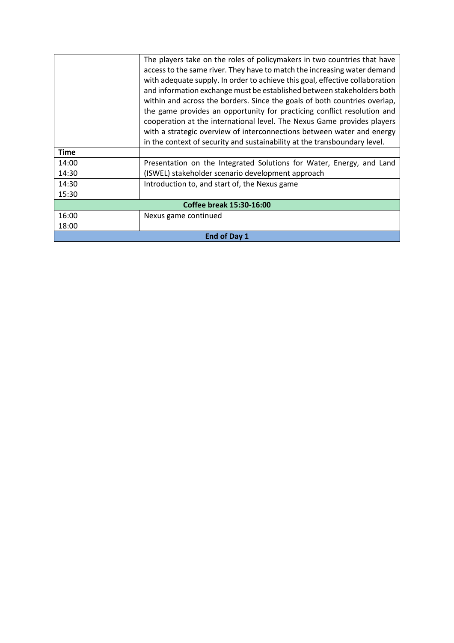|                                                                              | The players take on the roles of policymakers in two countries that have  |  |
|------------------------------------------------------------------------------|---------------------------------------------------------------------------|--|
| access to the same river. They have to match the increasing water demand     |                                                                           |  |
| with adequate supply. In order to achieve this goal, effective collaboration |                                                                           |  |
|                                                                              | and information exchange must be established between stakeholders both    |  |
| within and across the borders. Since the goals of both countries overlap,    |                                                                           |  |
| the game provides an opportunity for practicing conflict resolution and      |                                                                           |  |
|                                                                              | cooperation at the international level. The Nexus Game provides players   |  |
|                                                                              | with a strategic overview of interconnections between water and energy    |  |
|                                                                              | in the context of security and sustainability at the transboundary level. |  |
| <b>Time</b>                                                                  |                                                                           |  |
| 14:00                                                                        | Presentation on the Integrated Solutions for Water, Energy, and Land      |  |
| 14:30                                                                        | (ISWEL) stakeholder scenario development approach                         |  |
| 14:30                                                                        | Introduction to, and start of, the Nexus game                             |  |
| 15:30                                                                        |                                                                           |  |
| <b>Coffee break 15:30-16:00</b>                                              |                                                                           |  |
| 16:00                                                                        | Nexus game continued                                                      |  |
| 18:00                                                                        |                                                                           |  |
| End of Day 1                                                                 |                                                                           |  |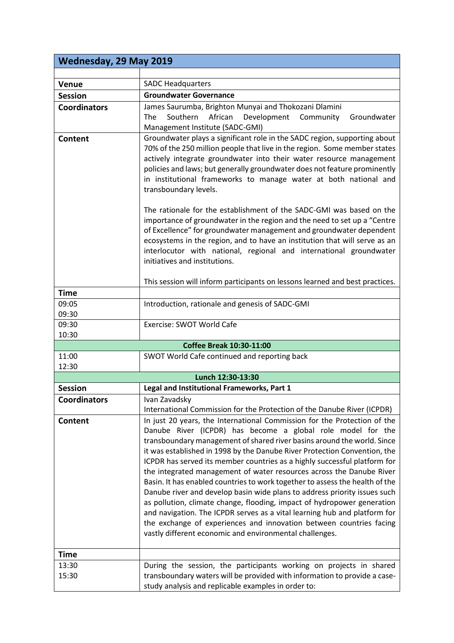| <b>Wednesday, 29 May 2019</b> |                                                                                                                                                                                                                                                                                                                                                                                                                                                                                                                                                                                                                                                                                                                                                                                                                                                                                                             |  |  |
|-------------------------------|-------------------------------------------------------------------------------------------------------------------------------------------------------------------------------------------------------------------------------------------------------------------------------------------------------------------------------------------------------------------------------------------------------------------------------------------------------------------------------------------------------------------------------------------------------------------------------------------------------------------------------------------------------------------------------------------------------------------------------------------------------------------------------------------------------------------------------------------------------------------------------------------------------------|--|--|
|                               |                                                                                                                                                                                                                                                                                                                                                                                                                                                                                                                                                                                                                                                                                                                                                                                                                                                                                                             |  |  |
| <b>Venue</b>                  | <b>SADC Headquarters</b>                                                                                                                                                                                                                                                                                                                                                                                                                                                                                                                                                                                                                                                                                                                                                                                                                                                                                    |  |  |
| <b>Session</b>                | <b>Groundwater Governance</b>                                                                                                                                                                                                                                                                                                                                                                                                                                                                                                                                                                                                                                                                                                                                                                                                                                                                               |  |  |
| <b>Coordinators</b>           | James Saurumba, Brighton Munyai and Thokozani Dlamini                                                                                                                                                                                                                                                                                                                                                                                                                                                                                                                                                                                                                                                                                                                                                                                                                                                       |  |  |
|                               | Southern African<br>Development Community<br>Groundwater<br>The                                                                                                                                                                                                                                                                                                                                                                                                                                                                                                                                                                                                                                                                                                                                                                                                                                             |  |  |
|                               | Management Institute (SADC-GMI)                                                                                                                                                                                                                                                                                                                                                                                                                                                                                                                                                                                                                                                                                                                                                                                                                                                                             |  |  |
| Content                       | Groundwater plays a significant role in the SADC region, supporting about<br>70% of the 250 million people that live in the region. Some member states<br>actively integrate groundwater into their water resource management<br>policies and laws; but generally groundwater does not feature prominently<br>in institutional frameworks to manage water at both national and<br>transboundary levels.                                                                                                                                                                                                                                                                                                                                                                                                                                                                                                     |  |  |
|                               | The rationale for the establishment of the SADC-GMI was based on the<br>importance of groundwater in the region and the need to set up a "Centre<br>of Excellence" for groundwater management and groundwater dependent<br>ecosystems in the region, and to have an institution that will serve as an<br>interlocutor with national, regional and international groundwater<br>initiatives and institutions.                                                                                                                                                                                                                                                                                                                                                                                                                                                                                                |  |  |
|                               | This session will inform participants on lessons learned and best practices.                                                                                                                                                                                                                                                                                                                                                                                                                                                                                                                                                                                                                                                                                                                                                                                                                                |  |  |
| <b>Time</b>                   |                                                                                                                                                                                                                                                                                                                                                                                                                                                                                                                                                                                                                                                                                                                                                                                                                                                                                                             |  |  |
| 09:05                         | Introduction, rationale and genesis of SADC-GMI                                                                                                                                                                                                                                                                                                                                                                                                                                                                                                                                                                                                                                                                                                                                                                                                                                                             |  |  |
| 09:30                         |                                                                                                                                                                                                                                                                                                                                                                                                                                                                                                                                                                                                                                                                                                                                                                                                                                                                                                             |  |  |
| 09:30                         | Exercise: SWOT World Cafe                                                                                                                                                                                                                                                                                                                                                                                                                                                                                                                                                                                                                                                                                                                                                                                                                                                                                   |  |  |
| 10:30                         |                                                                                                                                                                                                                                                                                                                                                                                                                                                                                                                                                                                                                                                                                                                                                                                                                                                                                                             |  |  |
|                               | <b>Coffee Break 10:30-11:00</b>                                                                                                                                                                                                                                                                                                                                                                                                                                                                                                                                                                                                                                                                                                                                                                                                                                                                             |  |  |
| 11:00<br>12:30                | SWOT World Cafe continued and reporting back                                                                                                                                                                                                                                                                                                                                                                                                                                                                                                                                                                                                                                                                                                                                                                                                                                                                |  |  |
|                               | Lunch 12:30-13:30                                                                                                                                                                                                                                                                                                                                                                                                                                                                                                                                                                                                                                                                                                                                                                                                                                                                                           |  |  |
| <b>Session</b>                | Legal and Institutional Frameworks, Part 1                                                                                                                                                                                                                                                                                                                                                                                                                                                                                                                                                                                                                                                                                                                                                                                                                                                                  |  |  |
| <b>Coordinators</b>           | Ivan Zavadsky                                                                                                                                                                                                                                                                                                                                                                                                                                                                                                                                                                                                                                                                                                                                                                                                                                                                                               |  |  |
|                               | International Commission for the Protection of the Danube River (ICPDR)                                                                                                                                                                                                                                                                                                                                                                                                                                                                                                                                                                                                                                                                                                                                                                                                                                     |  |  |
| <b>Content</b>                | In just 20 years, the International Commission for the Protection of the<br>Danube River (ICPDR) has become a global role model for the<br>transboundary management of shared river basins around the world. Since<br>it was established in 1998 by the Danube River Protection Convention, the<br>ICPDR has served its member countries as a highly successful platform for<br>the integrated management of water resources across the Danube River<br>Basin. It has enabled countries to work together to assess the health of the<br>Danube river and develop basin wide plans to address priority issues such<br>as pollution, climate change, flooding, impact of hydropower generation<br>and navigation. The ICPDR serves as a vital learning hub and platform for<br>the exchange of experiences and innovation between countries facing<br>vastly different economic and environmental challenges. |  |  |
| <b>Time</b>                   |                                                                                                                                                                                                                                                                                                                                                                                                                                                                                                                                                                                                                                                                                                                                                                                                                                                                                                             |  |  |
| 13:30<br>15:30                | During the session, the participants working on projects in shared<br>transboundary waters will be provided with information to provide a case-<br>study analysis and replicable examples in order to:                                                                                                                                                                                                                                                                                                                                                                                                                                                                                                                                                                                                                                                                                                      |  |  |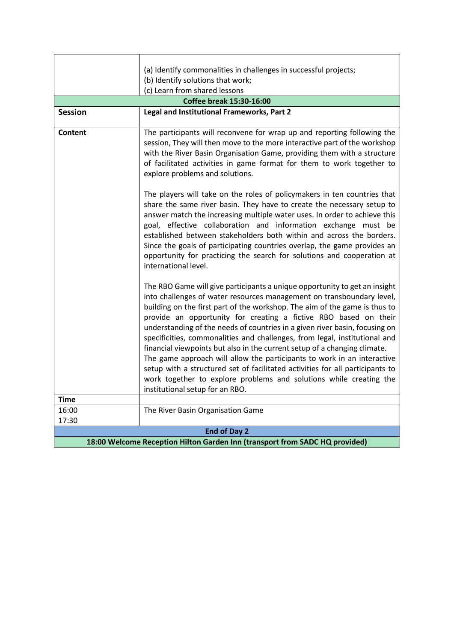| (a) Identify commonalities in challenges in successful projects;            |                                                                                                                                                                                                                                                                                                                                                                                                                                                                                                                                                                                                                                                                                                                                                                                                                      |  |
|-----------------------------------------------------------------------------|----------------------------------------------------------------------------------------------------------------------------------------------------------------------------------------------------------------------------------------------------------------------------------------------------------------------------------------------------------------------------------------------------------------------------------------------------------------------------------------------------------------------------------------------------------------------------------------------------------------------------------------------------------------------------------------------------------------------------------------------------------------------------------------------------------------------|--|
| (b) Identify solutions that work;                                           |                                                                                                                                                                                                                                                                                                                                                                                                                                                                                                                                                                                                                                                                                                                                                                                                                      |  |
| (c) Learn from shared lessons                                               |                                                                                                                                                                                                                                                                                                                                                                                                                                                                                                                                                                                                                                                                                                                                                                                                                      |  |
|                                                                             | <b>Coffee break 15:30-16:00</b>                                                                                                                                                                                                                                                                                                                                                                                                                                                                                                                                                                                                                                                                                                                                                                                      |  |
| <b>Session</b>                                                              | Legal and Institutional Frameworks, Part 2                                                                                                                                                                                                                                                                                                                                                                                                                                                                                                                                                                                                                                                                                                                                                                           |  |
| <b>Content</b>                                                              | The participants will reconvene for wrap up and reporting following the<br>session, They will then move to the more interactive part of the workshop<br>with the River Basin Organisation Game, providing them with a structure<br>of facilitated activities in game format for them to work together to<br>explore problems and solutions.                                                                                                                                                                                                                                                                                                                                                                                                                                                                          |  |
|                                                                             | The players will take on the roles of policymakers in ten countries that<br>share the same river basin. They have to create the necessary setup to<br>answer match the increasing multiple water uses. In order to achieve this<br>goal, effective collaboration and information exchange must be<br>established between stakeholders both within and across the borders.<br>Since the goals of participating countries overlap, the game provides an<br>opportunity for practicing the search for solutions and cooperation at<br>international level.                                                                                                                                                                                                                                                              |  |
| <b>Time</b>                                                                 | The RBO Game will give participants a unique opportunity to get an insight<br>into challenges of water resources management on transboundary level,<br>building on the first part of the workshop. The aim of the game is thus to<br>provide an opportunity for creating a fictive RBO based on their<br>understanding of the needs of countries in a given river basin, focusing on<br>specificities, commonalities and challenges, from legal, institutional and<br>financial viewpoints but also in the current setup of a changing climate.<br>The game approach will allow the participants to work in an interactive<br>setup with a structured set of facilitated activities for all participants to<br>work together to explore problems and solutions while creating the<br>institutional setup for an RBO. |  |
| 16:00                                                                       | The River Basin Organisation Game                                                                                                                                                                                                                                                                                                                                                                                                                                                                                                                                                                                                                                                                                                                                                                                    |  |
| 17:30                                                                       |                                                                                                                                                                                                                                                                                                                                                                                                                                                                                                                                                                                                                                                                                                                                                                                                                      |  |
| <b>End of Day 2</b>                                                         |                                                                                                                                                                                                                                                                                                                                                                                                                                                                                                                                                                                                                                                                                                                                                                                                                      |  |
| 18:00 Welcome Reception Hilton Garden Inn (transport from SADC HQ provided) |                                                                                                                                                                                                                                                                                                                                                                                                                                                                                                                                                                                                                                                                                                                                                                                                                      |  |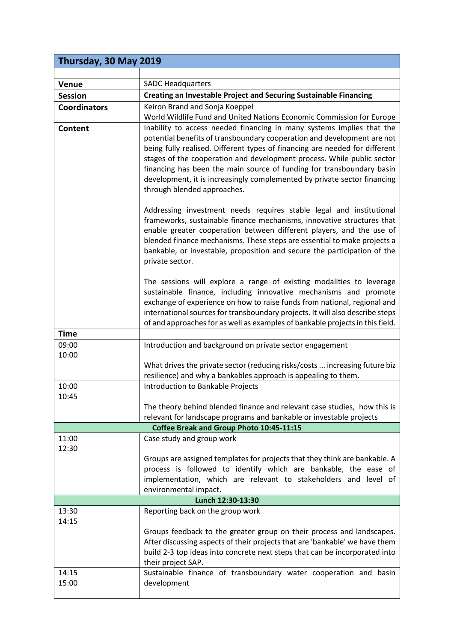| Thursday, 30 May 2019 |                                                                                                                                                                                                                                                                                                                                                                                                                                                                                               |  |  |
|-----------------------|-----------------------------------------------------------------------------------------------------------------------------------------------------------------------------------------------------------------------------------------------------------------------------------------------------------------------------------------------------------------------------------------------------------------------------------------------------------------------------------------------|--|--|
|                       |                                                                                                                                                                                                                                                                                                                                                                                                                                                                                               |  |  |
| <b>Venue</b>          | <b>SADC Headquarters</b>                                                                                                                                                                                                                                                                                                                                                                                                                                                                      |  |  |
| <b>Session</b>        | Creating an Investable Project and Securing Sustainable Financing                                                                                                                                                                                                                                                                                                                                                                                                                             |  |  |
| <b>Coordinators</b>   | Keiron Brand and Sonja Koeppel                                                                                                                                                                                                                                                                                                                                                                                                                                                                |  |  |
|                       | World Wildlife Fund and United Nations Economic Commission for Europe                                                                                                                                                                                                                                                                                                                                                                                                                         |  |  |
| Content               | Inability to access needed financing in many systems implies that the<br>potential benefits of transboundary cooperation and development are not<br>being fully realised. Different types of financing are needed for different<br>stages of the cooperation and development process. While public sector<br>financing has been the main source of funding for transboundary basin<br>development, it is increasingly complemented by private sector financing<br>through blended approaches. |  |  |
|                       | Addressing investment needs requires stable legal and institutional<br>frameworks, sustainable finance mechanisms, innovative structures that<br>enable greater cooperation between different players, and the use of<br>blended finance mechanisms. These steps are essential to make projects a<br>bankable, or investable, proposition and secure the participation of the<br>private sector.                                                                                              |  |  |
|                       | The sessions will explore a range of existing modalities to leverage                                                                                                                                                                                                                                                                                                                                                                                                                          |  |  |
|                       | sustainable finance, including innovative mechanisms and promote                                                                                                                                                                                                                                                                                                                                                                                                                              |  |  |
|                       | exchange of experience on how to raise funds from national, regional and                                                                                                                                                                                                                                                                                                                                                                                                                      |  |  |
|                       | international sources for transboundary projects. It will also describe steps                                                                                                                                                                                                                                                                                                                                                                                                                 |  |  |
| <b>Time</b>           | of and approaches for as well as examples of bankable projects in this field.                                                                                                                                                                                                                                                                                                                                                                                                                 |  |  |
| 09:00                 |                                                                                                                                                                                                                                                                                                                                                                                                                                                                                               |  |  |
| 10:00                 | Introduction and background on private sector engagement                                                                                                                                                                                                                                                                                                                                                                                                                                      |  |  |
|                       | What drives the private sector (reducing risks/costs  increasing future biz                                                                                                                                                                                                                                                                                                                                                                                                                   |  |  |
|                       | resilience) and why a bankables approach is appealing to them.                                                                                                                                                                                                                                                                                                                                                                                                                                |  |  |
| 10:00                 | Introduction to Bankable Projects                                                                                                                                                                                                                                                                                                                                                                                                                                                             |  |  |
| 10:45                 | The theory behind blended finance and relevant case studies, how this is<br>relevant for landscape programs and bankable or investable projects                                                                                                                                                                                                                                                                                                                                               |  |  |
|                       | Coffee Break and Group Photo 10:45-11:15                                                                                                                                                                                                                                                                                                                                                                                                                                                      |  |  |
| 11:00<br>12:30        | Case study and group work                                                                                                                                                                                                                                                                                                                                                                                                                                                                     |  |  |
|                       | Groups are assigned templates for projects that they think are bankable. A                                                                                                                                                                                                                                                                                                                                                                                                                    |  |  |
|                       | process is followed to identify which are bankable, the ease of                                                                                                                                                                                                                                                                                                                                                                                                                               |  |  |
|                       | implementation, which are relevant to stakeholders and level of                                                                                                                                                                                                                                                                                                                                                                                                                               |  |  |
|                       | environmental impact.                                                                                                                                                                                                                                                                                                                                                                                                                                                                         |  |  |
| 13:30                 | Lunch 12:30-13:30                                                                                                                                                                                                                                                                                                                                                                                                                                                                             |  |  |
| 14:15                 | Reporting back on the group work                                                                                                                                                                                                                                                                                                                                                                                                                                                              |  |  |
|                       | Groups feedback to the greater group on their process and landscapes.<br>After discussing aspects of their projects that are 'bankable' we have them<br>build 2-3 top ideas into concrete next steps that can be incorporated into<br>their project SAP.                                                                                                                                                                                                                                      |  |  |
| 14:15                 | Sustainable finance of transboundary water cooperation and basin                                                                                                                                                                                                                                                                                                                                                                                                                              |  |  |
| 15:00                 | development                                                                                                                                                                                                                                                                                                                                                                                                                                                                                   |  |  |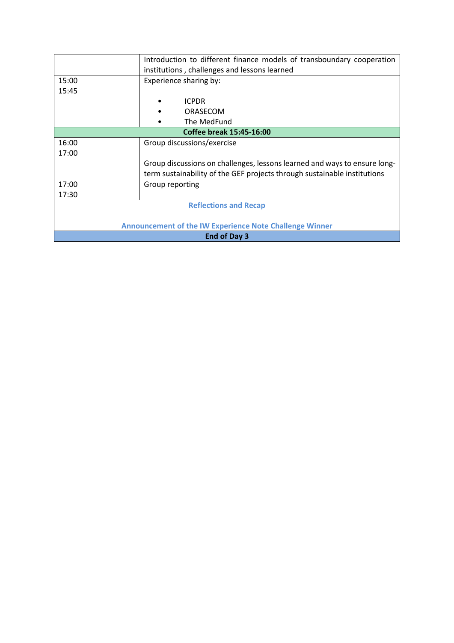| Introduction to different finance models of transboundary cooperation |                                                                           |  |
|-----------------------------------------------------------------------|---------------------------------------------------------------------------|--|
| institutions, challenges and lessons learned                          |                                                                           |  |
| 15:00                                                                 | Experience sharing by:                                                    |  |
| 15:45                                                                 |                                                                           |  |
|                                                                       | <b>ICPDR</b>                                                              |  |
|                                                                       | ORASECOM                                                                  |  |
|                                                                       | The MedFund                                                               |  |
| Coffee break 15:45-16:00                                              |                                                                           |  |
| 16:00                                                                 | Group discussions/exercise                                                |  |
| 17:00                                                                 |                                                                           |  |
|                                                                       | Group discussions on challenges, lessons learned and ways to ensure long- |  |
|                                                                       | term sustainability of the GEF projects through sustainable institutions  |  |
| 17:00                                                                 | Group reporting                                                           |  |
| 17:30                                                                 |                                                                           |  |
| <b>Reflections and Recap</b>                                          |                                                                           |  |
|                                                                       |                                                                           |  |
| <b>Announcement of the IW Experience Note Challenge Winner</b>        |                                                                           |  |
| End of Day 3                                                          |                                                                           |  |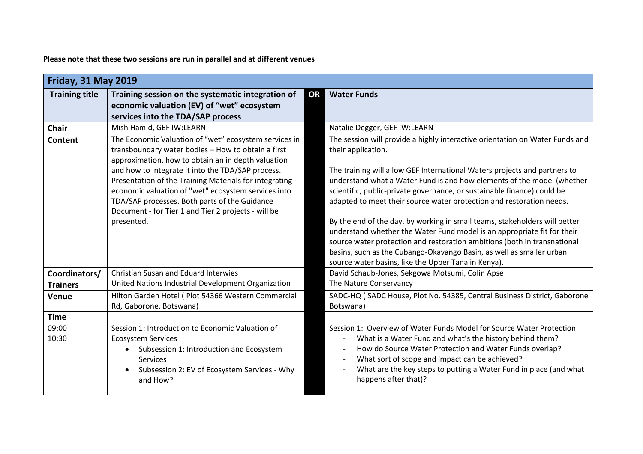**Please note that these two sessions are run in parallel and at different venues**

| <b>Friday, 31 May 2019</b>       |                                                                                                                                                                                                                                                                                                                                                                                                                                                               |                                                                                                                                                                                                                                                                                                                                                                                                                                                                                                                                                                                                                                                                                                                                                                                  |  |
|----------------------------------|---------------------------------------------------------------------------------------------------------------------------------------------------------------------------------------------------------------------------------------------------------------------------------------------------------------------------------------------------------------------------------------------------------------------------------------------------------------|----------------------------------------------------------------------------------------------------------------------------------------------------------------------------------------------------------------------------------------------------------------------------------------------------------------------------------------------------------------------------------------------------------------------------------------------------------------------------------------------------------------------------------------------------------------------------------------------------------------------------------------------------------------------------------------------------------------------------------------------------------------------------------|--|
| <b>Training title</b>            | Training session on the systematic integration of<br>economic valuation (EV) of "wet" ecosystem<br>services into the TDA/SAP process                                                                                                                                                                                                                                                                                                                          | <b>Water Funds</b><br>OR                                                                                                                                                                                                                                                                                                                                                                                                                                                                                                                                                                                                                                                                                                                                                         |  |
| <b>Chair</b>                     | Mish Hamid, GEF IW:LEARN                                                                                                                                                                                                                                                                                                                                                                                                                                      | Natalie Degger, GEF IW:LEARN                                                                                                                                                                                                                                                                                                                                                                                                                                                                                                                                                                                                                                                                                                                                                     |  |
| Content                          | The Economic Valuation of "wet" ecosystem services in<br>transboundary water bodies - How to obtain a first<br>approximation, how to obtain an in depth valuation<br>and how to integrate it into the TDA/SAP process.<br>Presentation of the Training Materials for integrating<br>economic valuation of "wet" ecosystem services into<br>TDA/SAP processes. Both parts of the Guidance<br>Document - for Tier 1 and Tier 2 projects - will be<br>presented. | The session will provide a highly interactive orientation on Water Funds and<br>their application.<br>The training will allow GEF International Waters projects and partners to<br>understand what a Water Fund is and how elements of the model (whether<br>scientific, public-private governance, or sustainable finance) could be<br>adapted to meet their source water protection and restoration needs.<br>By the end of the day, by working in small teams, stakeholders will better<br>understand whether the Water Fund model is an appropriate fit for their<br>source water protection and restoration ambitions (both in transnational<br>basins, such as the Cubango-Okavango Basin, as well as smaller urban<br>source water basins, like the Upper Tana in Kenya). |  |
| Coordinators/<br><b>Trainers</b> | Christian Susan and Eduard Interwies<br>United Nations Industrial Development Organization                                                                                                                                                                                                                                                                                                                                                                    | David Schaub-Jones, Sekgowa Motsumi, Colin Apse<br>The Nature Conservancy                                                                                                                                                                                                                                                                                                                                                                                                                                                                                                                                                                                                                                                                                                        |  |
| Venue                            | Hilton Garden Hotel ( Plot 54366 Western Commercial<br>Rd, Gaborone, Botswana)                                                                                                                                                                                                                                                                                                                                                                                | SADC-HQ (SADC House, Plot No. 54385, Central Business District, Gaborone<br>Botswana)                                                                                                                                                                                                                                                                                                                                                                                                                                                                                                                                                                                                                                                                                            |  |
| <b>Time</b>                      |                                                                                                                                                                                                                                                                                                                                                                                                                                                               |                                                                                                                                                                                                                                                                                                                                                                                                                                                                                                                                                                                                                                                                                                                                                                                  |  |
| 09:00<br>10:30                   | Session 1: Introduction to Economic Valuation of<br><b>Ecosystem Services</b><br>Subsession 1: Introduction and Ecosystem<br>$\bullet$<br><b>Services</b><br>Subsession 2: EV of Ecosystem Services - Why<br>and How?                                                                                                                                                                                                                                         | Session 1: Overview of Water Funds Model for Source Water Protection<br>What is a Water Fund and what's the history behind them?<br>How do Source Water Protection and Water Funds overlap?<br>What sort of scope and impact can be achieved?<br>What are the key steps to putting a Water Fund in place (and what<br>happens after that)?                                                                                                                                                                                                                                                                                                                                                                                                                                       |  |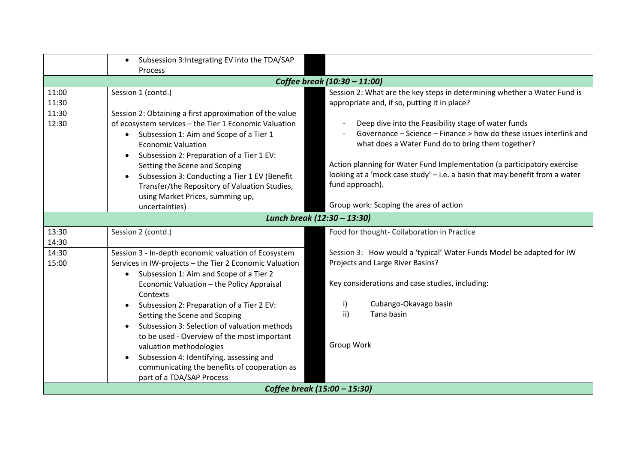|                              | Subsession 3: Integrating EV into the TDA/SAP<br>$\bullet$ |                                                                             |
|------------------------------|------------------------------------------------------------|-----------------------------------------------------------------------------|
|                              | <b>Process</b>                                             |                                                                             |
|                              |                                                            | Coffee break (10:30 - 11:00)                                                |
| 11:00                        | Session 1 (contd.)                                         | Session 2: What are the key steps in determining whether a Water Fund is    |
| 11:30                        |                                                            | appropriate and, if so, putting it in place?                                |
| 11:30                        | Session 2: Obtaining a first approximation of the value    |                                                                             |
| 12:30                        | of ecosystem services - the Tier 1 Economic Valuation      | Deep dive into the Feasibility stage of water funds                         |
|                              | Subsession 1: Aim and Scope of a Tier 1<br>$\bullet$       | Governance - Science - Finance > how do these issues interlink and          |
|                              | <b>Economic Valuation</b>                                  | what does a Water Fund do to bring them together?                           |
|                              | Subsession 2: Preparation of a Tier 1 EV:<br>$\bullet$     |                                                                             |
|                              | Setting the Scene and Scoping                              | Action planning for Water Fund Implementation (a participatory exercise     |
|                              | Subsession 3: Conducting a Tier 1 EV (Benefit              | looking at a 'mock case study' - i.e. a basin that may benefit from a water |
|                              | Transfer/the Repository of Valuation Studies,              | fund approach).                                                             |
|                              | using Market Prices, summing up,                           |                                                                             |
|                              | uncertainties)                                             | Group work: Scoping the area of action                                      |
|                              |                                                            | Lunch break (12:30 - 13:30)                                                 |
| 13:30                        | Session 2 (contd.)                                         | Food for thought- Collaboration in Practice                                 |
| 14:30                        |                                                            |                                                                             |
| 14:30                        | Session 3 - In-depth economic valuation of Ecosystem       | Session 3: How would a 'typical' Water Funds Model be adapted for IW        |
| 15:00                        | Services in IW-projects - the Tier 2 Economic Valuation    | Projects and Large River Basins?                                            |
|                              | Subsession 1: Aim and Scope of a Tier 2<br>$\bullet$       |                                                                             |
|                              | Economic Valuation - the Policy Appraisal                  | Key considerations and case studies, including:                             |
|                              | Contexts                                                   |                                                                             |
|                              | Subsession 2: Preparation of a Tier 2 EV:<br>$\bullet$     | Cubango-Okavago basin<br>i)                                                 |
|                              | Setting the Scene and Scoping                              | ii)<br>Tana basin                                                           |
|                              | Subsession 3: Selection of valuation methods               |                                                                             |
|                              | to be used - Overview of the most important                |                                                                             |
|                              | valuation methodologies                                    | Group Work                                                                  |
|                              | Subsession 4: Identifying, assessing and<br>$\bullet$      |                                                                             |
|                              | communicating the benefits of cooperation as               |                                                                             |
| part of a TDA/SAP Process    |                                                            |                                                                             |
| Coffee break (15:00 - 15:30) |                                                            |                                                                             |